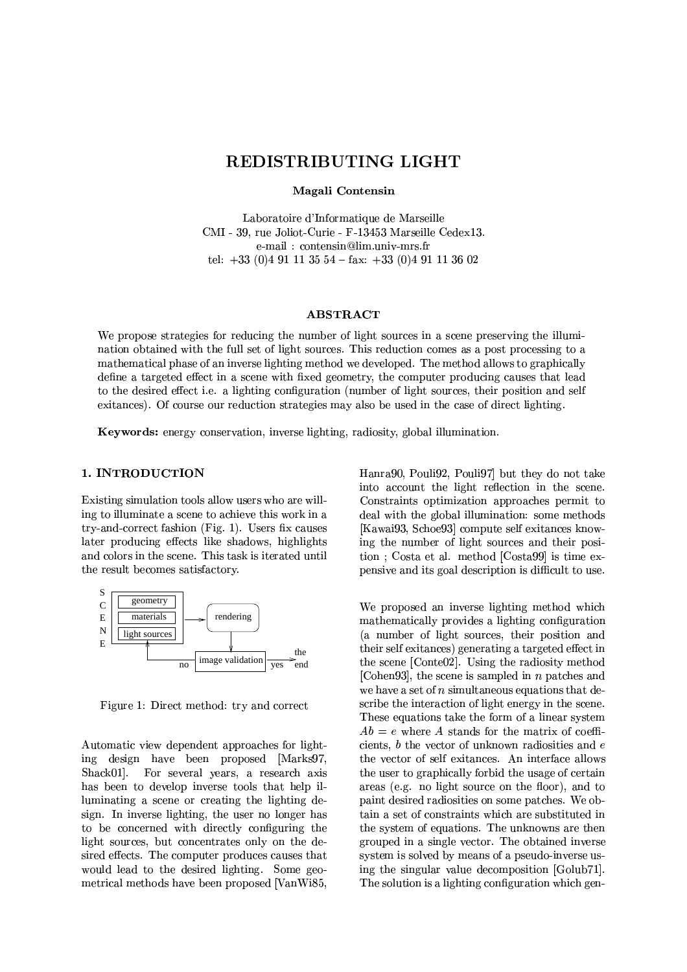# REDISTRIBUTING LIGHT

Magali Contensin

Laboratoire d'Informatique de Marseille CMI - 39, rue Joliot-Curie - F-13453 Marseille Cedex13. e-mail: contensin@lim.univ-mrs.fr tel:  $+33$  (0)4 91 11 35 54 - fax:  $+33$  (0)4 91 11 36 02

### **ABSTRACT**

We propose strategies for reducing the number of light sources in a scene preserving the illumination obtained with the full set of light sources. This reduction comes as a post processing to a mathematical phase of an inverse lighting method we developed. The method allows to graphically define a targeted effect in a scene with fixed geometry, the computer producing causes that lead to the desired effect *i.e.* a lighting configuration (number of light sources, their position and self exitances). Of course our reduction strategies may also be used in the case of direct lighting.

Keywords: energy conservation, inverse lighting, radiosity, global illumination.

# 1. INTRODUCTION

Existing simulation tools allow users who are willing to illuminate a scene to achieve this work in a try-and-correct fashion (Fig. 1). Users fix causes later producing effects like shadows, highlights and colors in the scene. This task is iterated until the result becomes satisfactory.



Figure 1: Direct method: try and correct

Automatic view dependent approaches for lighting design have been proposed [Marks97, Shack01]. For several years, a research axis has been to develop inverse tools that help illuminating a scene or creating the lighting design. In inverse lighting, the user no longer has to be concerned with directly configuring the light sources, but concentrates only on the desired effects. The computer produces causes that would lead to the desired lighting. Some geometrical methods have been proposed [VanWi85,

Hanra90, Pouli92, Pouli97 but they do not take into account the light reflection in the scene. Constraints optimization approaches permit to deal with the global illumination: some methods [Kawai93, Schoe93] compute self exitances knowing the number of light sources and their position : Costa et al. method [Costa99] is time expensive and its goal description is difficult to use.

We proposed an inverse lighting method which mathematically provides a lighting configuration (a number of light sources, their position and their self exitances) generating a targeted effect in the scene [Conte02]. Using the radiosity method [Cohen93], the scene is sampled in  $n$  patches and we have a set of  $n$  simultaneous equations that describe the interaction of light energy in the scene. These equations take the form of a linear system  $Ab = e$  where A stands for the matrix of coefficients,  $b$  the vector of unknown radiosities and  $e$ the vector of self exitances. An interface allows the user to graphically forbid the usage of certain areas (e.g. no light source on the floor), and to paint desired radiosities on some patches. We obtain a set of constraints which are substituted in the system of equations. The unknowns are then grouped in a single vector. The obtained inverse system is solved by means of a pseudo-inverse using the singular value decomposition [Golub71]. The solution is a lighting configuration which gen-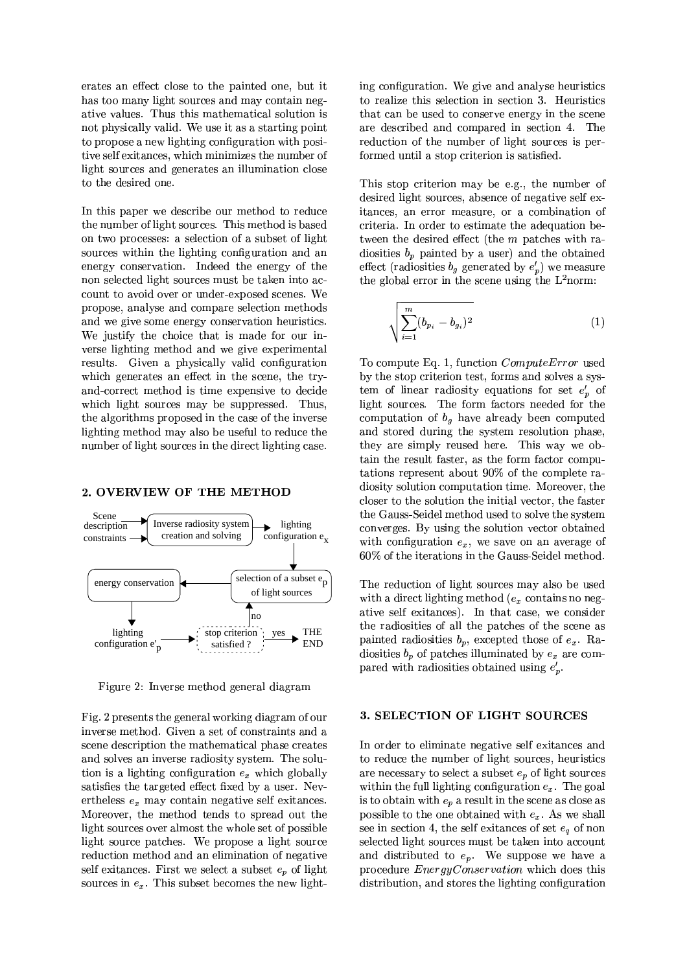erates an effect close to the painted one, but it has too many light sources and may contain negative values. Thus this mathematical solution is not physically valid. We use it as a starting point to propose a new lighting configuration with positive self exitances, which minimizes the number of light sources and generates an illumination close to the desired one.

In this paper we describe our method to reduce the number of light sources. This method is based on two processes: a selection of a subset of light sources within the lighting configuration and an energy conservation. Indeed the energy of the non selected light sources must be taken into account to avoid over or under-exposed scenes. We propose, analyse and compare selection methods and we give some energy conservation heuristics. We justify the choice that is made for our inverse lighting method and we give experimental results. Given a physically valid configuration which generates an effect in the scene, the tryand-correct method is time expensive to decide which light sources may be suppressed. Thus, the algorithms proposed in the case of the inverse lighting method may also be useful to reduce the number of light sources in the direct lighting case.

#### 2. OVERVIEW OF THE METHOD



Figure 2: Inverse method general diagram

Fig. 2 presents the general working diagram of our inverse method. Given a set of constraints and a scene description the mathematical phase creates and solves an inverse radiosity system. The solution is a lighting configuration  $e_x$  which globally satisfies the targeted effect fixed by a user. Nevertheless  $e_x$  may contain negative self exitances. Moreover, the method tends to spread out the light sources over almost the whole set of possible light source patches. We propose a light source reduction method and an elimination of negative self exitences. First we select a subset  $e_p$  of light sources in  $e_x$ . This subset becomes the new lighting configuration. We give and analyse heuristics to realize this selection in section 3. Heuristics that can be used to conserve energy in the scene are described and compared in section 4. The reduction of the number of light sources is performed until a stop criterion is satisfied.

This stop criterion may be e.g., the number of desired light sources, absence of negative self exitances, an error measure, or a combination of criteria. In order to estimate the adequation between the desired effect (the  $m$  patches with radiosities  $b_p$  painted by a user) and the obtained effect (radiosities  $b_g$  generated by  $e'_p$ ) we measure the global error in the scene using the  $L^2$ norm:

$$
\sqrt{\sum_{i=1}^{m} (b_{p_i} - b_{g_i})^2}
$$
 (1)

To compute Eq. 1, function *Compute Error* used by the stop criterion test, forms and solves a system of linear radiosity equations for set  $e'_n$  of light sources. The form factors needed for the computation of  $b_g$  have already been computed and stored during the system resolution phase, they are simply reused here. This way we obtain the result faster, as the form factor computations represent about 90% of the complete radiosity solution computation time. Moreover, the closer to the solution the initial vector, the faster the Gauss-Seidel method used to solve the system converges. By using the solution vector obtained with configuration  $e_x$ , we save on an average of 60% of the iterations in the Gauss-Seidel method.

The reduction of light sources may also be used with a direct lighting method ( $e_x$  contains no negative self exitances). In that case, we consider the radiosities of all the patches of the scene as painted radiosities  $b_p$ , excepted those of  $e_x$ . Radiosities  $b_p$  of patches illuminated by  $e_x$  are compared with radiosities obtained using  $e'_n$ .

## 3. SELECTION OF LIGHT SOURCES

In order to eliminate negative self exitances and to reduce the number of light sources, heuristics are necessary to select a subset  $e_p$  of light sources within the full lighting configuration  $e_x$ . The goal is to obtain with  $e_p$  a result in the scene as close as possible to the one obtained with  $e_x$ . As we shall see in section 4, the self exitances of set  $e_a$  of non selected light sources must be taken into account and distributed to  $e_p$ . We suppose we have a procedure *EnergyConservation* which does this distribution, and stores the lighting configuration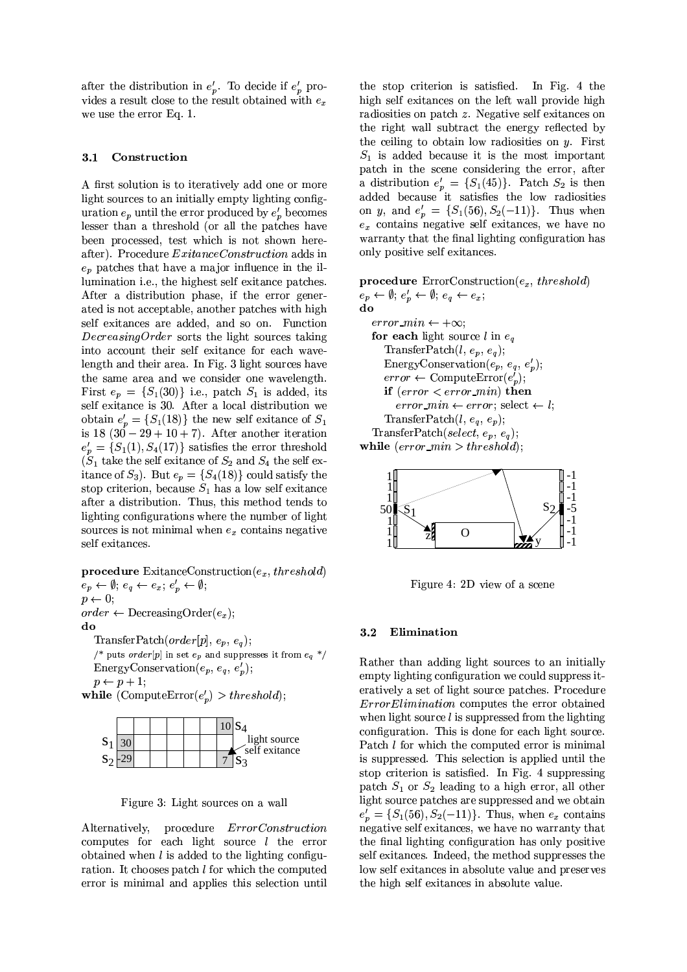after the distribution in  $e'_p$ . To decide if  $e'_p$  provides a result close to the result obtained with  $e_x$ we use the error Eq. 1.

#### Construction  $3.1$

A first solution is to iteratively add one or more light sources to an initially empty lighting configuration  $e_p$  until the error produced by  $e'_p$  becomes lesser than a threshold (or all the patches have been processed, test which is not shown hereafter). Procedure *ExitanceConstruction* adds in  $e_p$  patches that have a major influence in the illumination *i.e.*, the highest self exitance patches. After a distribution phase, if the error generated is not acceptable, another patches with high self exitances are added, and so on. Function *DecreasingOrder* sorts the light sources taking into account their self exitance for each wavelength and their area. In Fig. 3 light sources have the same area and we consider one wavelength. First  $e_p = \{S_1(30)\}\)$ .e., patch  $S_1$  is added, its self exitance is 30. After a local distribution we obtain  $e'_n = \{S_1(18)\}\$ the new self exitance of  $S_1$ is  $18(30-29+10+7)$ . After another iteration  $e'_p = \{S_1(1), S_4(17)\}\$  satisfies the error threshold<br>(S<sub>1</sub> take the self exitance of S<sub>2</sub> and S<sub>4</sub> the self exitance of  $S_3$ ). But  $e_p = \{S_4(18)\}\$ could satisfy the stop criterion, because  $S_1$  has a low self exitance after a distribution. Thus, this method tends to lighting configurations where the number of light sources is not minimal when  $e_x$  contains negative self exitances.

**procedure** ExitanceConstruction $(e_x, threshold)$ 

 $e_p \leftarrow \emptyset$ ;  $e_q \leftarrow e_x$ ;  $e'_p \leftarrow \emptyset$ ;  $p \leftarrow 0;$  $order \leftarrow DecreasingOrder(e_x);$ do

TransferPatch(order[p],  $e_p$ ,  $e_q$ );  $\text{/}^*$  puts  $order[p]$  in set  $\,e_{\,p}\,$  and suppresses it from  $\,e_{q}\,$   $^*/$ EnergyConservation $(e_p, e_q, e'_p);$  $p \leftarrow p + 1$ ;

while (Compute  $\text{Error}(e'_n) > threshold$ );



Figure 3: Light sources on a wall

procedure  $ErrorConstruction$ Alternatively, computes for each light source  $l$  the error obtained when  $l$  is added to the lighting configuration. It chooses patch  $l$  for which the computed error is minimal and applies this selection until

the stop criterion is satisfied. In Fig. 4 the high self exitances on the left wall provide high radiosities on patch  $z$ . Negative self exitances on the right wall subtract the energy reflected by the ceiling to obtain low radiosities on  $y$ . First  $S_1$  is added because it is the most important patch in the scene considering the error, after a distribution  $e'_p = \{S_1(45)\}\$ . Patch  $S_2$  is then added because it satisfies the low radiosities on y, and  $e'_p = \{S_1(56), S_2(-11)\}\$ . Thus when  $e_x$  contains negative self exitances, we have no warranty that the final lighting configuration has only positive self exitances.

procedure  $ErrorConstruction(e_x, threshold)$  $e_p \leftarrow \emptyset$ ;  $e'_p \leftarrow \emptyset$ ;  $e_q \leftarrow e_x$ ;

do error  $min \leftarrow +\infty$ ; for each light source l in  $e_a$ TransferPatch $(l, e_p, e_q)$ ; Energy Conservation  $(e_p, e_q, e'_p);$  $error \leftarrow ComputeError(e'_n);$ if  $(error < error\_min)$  then error\_min  $\leftarrow error$ ; select  $\leftarrow$  l; TransferPatch $(l, e_q, e_p)$ ; TransferPatch(select,  $e_p$ ,  $e_q$ ); while  $(error\_min > threshold);$ 



Figure 4: 2D view of a scene

#### $3.2$ Elimination

Rather than adding light sources to an initially empty lighting configuration we could suppress iteratively a set of light source patches. Procedure *Error Elimination* computes the error obtained when light source  $l$  is suppressed from the lighting configuration. This is done for each light source. Patch *l* for which the computed error is minimal is suppressed. This selection is applied until the stop criterion is satisfied. In Fig. 4 suppressing patch  $S_1$  or  $S_2$  leading to a high error, all other light source patches are suppressed and we obtain  $e'_p = \{S_1(56), S_2(-11)\}\.$  Thus, when  $e_x$  contains negative self exitances, we have no warranty that the final lighting configuration has only positive self exitances. Indeed, the method suppresses the low self exitances in absolute value and preserves the high self exitances in absolute value.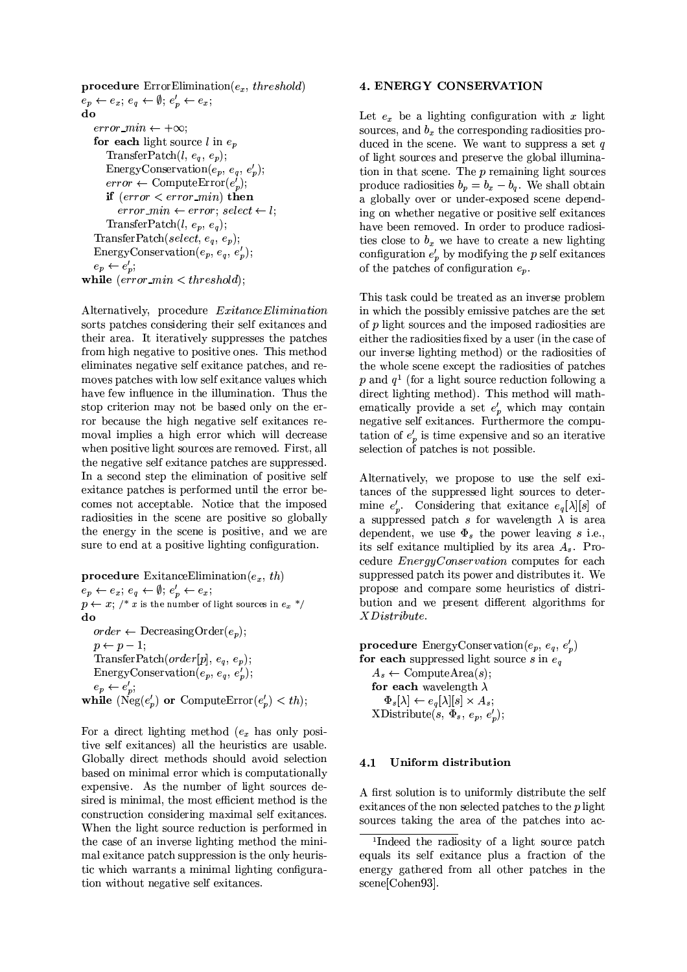```
procedure ErrorElimination(e_x, threshold)
e_p \leftarrow e_x; e_q \leftarrow \emptyset; e'_p \leftarrow e_x;
do
   error min \leftarrow +\infty;
   for each light source l in e_nTransferPatch(l, e_q, e_p);
      EnergyConservation(e_p, e_q, e'_p);error \leftarrow ComputeError(e_p^i);if (error < error\_min) then
         error\_min \leftarrow error: select \leftarrow lTransferPatch(l, e_p, e_q);
   TransferPatch(select, e_a, e_p);
   EnergyConservation(e_p, e_q, e'_p);e_p \leftarrow e'_p;while \text{(error\_min} < \text{threshold)};
```
Alternatively, procedure ExitanceElimination sorts patches considering their self exitances and their area. It iteratively suppresses the patches from high negative to positive ones. This method eliminates negative self exitance patches, and removes patches with low self exitance values which have few influence in the illumination. Thus the stop criterion may not be based only on the error because the high negative self exitances removal implies a high error which will decrease when positive light sources are removed. First, all the negative self exitance patches are suppressed. In a second step the elimination of positive self exitance patches is performed until the error becomes not acceptable. Notice that the imposed radiosities in the scene are positive so globally the energy in the scene is positive, and we are sure to end at a positive lighting configuration.

**procedure** ExitanceElimination( $e_x$ , th)  $e_p \leftarrow e_x$ ;  $e_q \leftarrow \emptyset$ ;  $e'_p \leftarrow e_x$ ;  $p \leftarrow x$ ; /\* x is the number of light sources in  $e_x$  \*/ do  $order \leftarrow$  Decreasing Order $(e_p)$ ;  $p \leftarrow p-1;$ TransferPatch(order[p],  $e_q$ ,  $e_p$ ); EnergyConservation $(e_p, e_q, e'_p)$  $e_p \leftarrow e'_p;$ while ( $Neg(e_n)$  or Compute  $Error(e_n) < th$ );

For a direct lighting method  $(e_x$  has only positive self exitances) all the heuristics are usable. Globally direct methods should avoid selection based on minimal error which is computationally expensive. As the number of light sources desired is minimal, the most efficient method is the construction considering maximal self exitances. When the light source reduction is performed in the case of an inverse lighting method the minimal exitance patch suppression is the only heuristic which warrants a minimal lighting configuration without negative self exitances.

## **4. ENERGY CONSERVATION**

Let  $e_x$  be a lighting configuration with x light sources, and  $b_x$  the corresponding radiosities produced in the scene. We want to suppress a set  $q$ of light sources and preserve the global illumination in that scene. The  $p$  remaining light sources produce radiosities  $b_p = b_x - b_q$ . We shall obtain a globally over or under-exposed scene depending on whether negative or positive self exitances have been removed. In order to produce radiosities close to  $b_x$  we have to create a new lighting configuration  $e'_p$  by modifying the p self exitences of the patches of configuration  $e_n$ .

This task could be treated as an inverse problem in which the possibly emissive patches are the set of *p* light sources and the imposed radiosities are either the radiosities fixed by a user (in the case of our inverse lighting method) or the radiosities of the whole scene except the radiosities of patches p and  $q<sup>1</sup>$  (for a light source reduction following a direct lighting method). This method will mathematically provide a set  $e'_p$  which may contain negative self exitances. Furthermore the computation of  $e'_n$  is time expensive and so an iterative selection of patches is not possible.

Alternatively, we propose to use the self exitances of the suppressed light sources to determine  $e'_p$ . Considering that exitance  $e_q[\lambda][s]$  of a suppressed patch s for wavelength  $\lambda$  is area dependent, we use  $\Phi_s$  the power leaving s i.e., its self exitance multiplied by its area  $A_s$ . Procedure *EnergyConservation* computes for each suppressed patch its power and distributes it. We propose and compare some heuristics of distribution and we present different algorithms for  $XD is tribute.$ 

**procedure** EnergyConservation( $e_p, e_q, e'_p$ ) for each suppressed light source  $s$  in  $e_q$  $A_s \leftarrow \text{ComputeArea}(s);$ for each wavelength  $\lambda$  $\Phi_{s}[\lambda] \leftarrow e_{q}[\lambda][s] \times A_{s};$  $XDistribute(s, \Phi_s, e_n, e_n')$ ;

#### Uniform distribution  $4.1$

A first solution is to uniformly distribute the self exitances of the non selected patches to the  $p$  light sources taking the area of the patches into ac-

<sup>&</sup>lt;sup>1</sup>Indeed the radiosity of a light source patch equals its self exitance plus a fraction of the energy gathered from all other patches in the scene[Cohen93].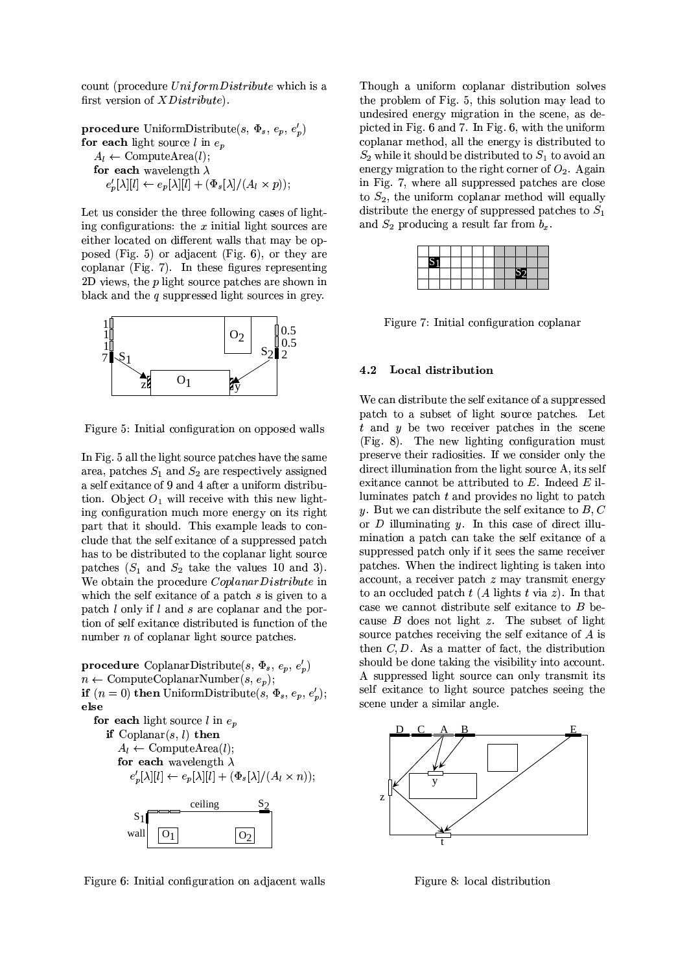count (procedure UniformDistribute which is a first version of *XDistribute*).

**procedure** UniformDistribute(s,  $\Phi_s$ ,  $e_p$ ,  $e'_p$ ) for each light source  $l$  in  $e_p$  $A_l \leftarrow \text{ComputeArea}(l);$ for each wavelength  $\lambda$  $e'_{p}[\lambda][l] \leftarrow e_{p}[\lambda][l] + (\Phi_{s}[\lambda]/(A_{l} \times p));$ 

Let us consider the three following cases of lighting configurations: the  $x$  initial light sources are either located on different walls that may be opposed (Fig. 5) or adjacent (Fig. 6), or they are coplanar (Fig. 7). In these figures representing 2D views, the  $p$  light source patches are shown in black and the  $q$  suppressed light sources in grey.



Figure 5: Initial configuration on opposed walls

In Fig. 5 all the light source patches have the same area, patches  $S_1$  and  $S_2$  are respectively assigned a self exitance of 9 and 4 after a uniform distribution. Object  $O_1$  will receive with this new lighting configuration much more energy on its right part that it should. This example leads to conclude that the self exitance of a suppressed patch has to be distributed to the coplanar light source patches  $(S_1$  and  $S_2$  take the values 10 and 3). We obtain the procedure Coplanar Distribute in which the self exitance of a patch  $s$  is given to a patch  $l$  only if  $l$  and  $s$  are coplanar and the portion of self exitance distributed is function of the number  $n$  of coplanar light source patches.

**procedure** CoplanarDistribute(s,  $\Phi_s$ ,  $e_p$ ,  $e'_p$ )  $n \leftarrow$  ComputeCoplanarNumber $(s, e_n)$ ; if  $(n = 0)$  then UniformDistribute(s,  $\Phi_s$ ,  $e_p$ ,  $e'_p$ ); else for each light source l in  $e_n$ 

if  $\text{Coplanar}(s, l)$  then  $A_l \leftarrow$  ComputeArea(*l*); for each wavelength  $\lambda$  $e'_{p}[\lambda][l] \leftarrow e_{p}[\lambda][l] + (\Phi_{s}[\lambda]/(A_{l} \times n));$ ceiling  $S<sub>1</sub>$ wall  $O<sub>1</sub>$  $O<sub>2</sub>$ 

Figure 6: Initial configuration on adjacent walls

Though a uniform coplanar distribution solves the problem of Fig. 5, this solution may lead to undesired energy migration in the scene, as depicted in Fig. 6 and 7. In Fig. 6, with the uniform coplanar method, all the energy is distributed to  $S_2$  while it should be distributed to  $S_1$  to avoid an energy migration to the right corner of  $O_2$ . Again in Fig. 7, where all suppressed patches are close to  $S_2$ , the uniform coplanar method will equally distribute the energy of suppressed patches to  $S_1$ and  $S_2$  producing a result far from  $b_x$ .

| $\mathbf C$ |  |  |  |  |  |
|-------------|--|--|--|--|--|
|             |  |  |  |  |  |
|             |  |  |  |  |  |

Figure 7: Initial configuration coplanar

#### $4.2$ Local distribution

We can distribute the self exitance of a suppressed patch to a subset of light source patches. Let  $t$  and  $y$  be two receiver patches in the scene  $(Fig. 8)$ . The new lighting configuration must preserve their radiosities. If we consider only the direct illumination from the light source A, its self exitance cannot be attributed to  $E$ . Indeed  $E$  illuminates patch  $t$  and provides no light to patch y. But we can distribute the self exitance to  $B, C$ or  $D$  illuminating  $y$ . In this case of direct illumination a patch can take the self exitance of a suppressed patch only if it sees the same receiver patches. When the indirect lighting is taken into  $account, a receiver patch z may transmit energy$ to an occluded patch  $t(A)$  lights  $t \text{ via } z$ ). In that case we cannot distribute self exitance to  $B$  because  $B$  does not light  $z$ . The subset of light source patches receiving the self exitance of  $A$  is then  $C, D$ . As a matter of fact, the distribution should be done taking the visibility into account. A suppressed light source can only transmit its self exitance to light source patches seeing the scene under a similar angle.



Figure 8: local distribution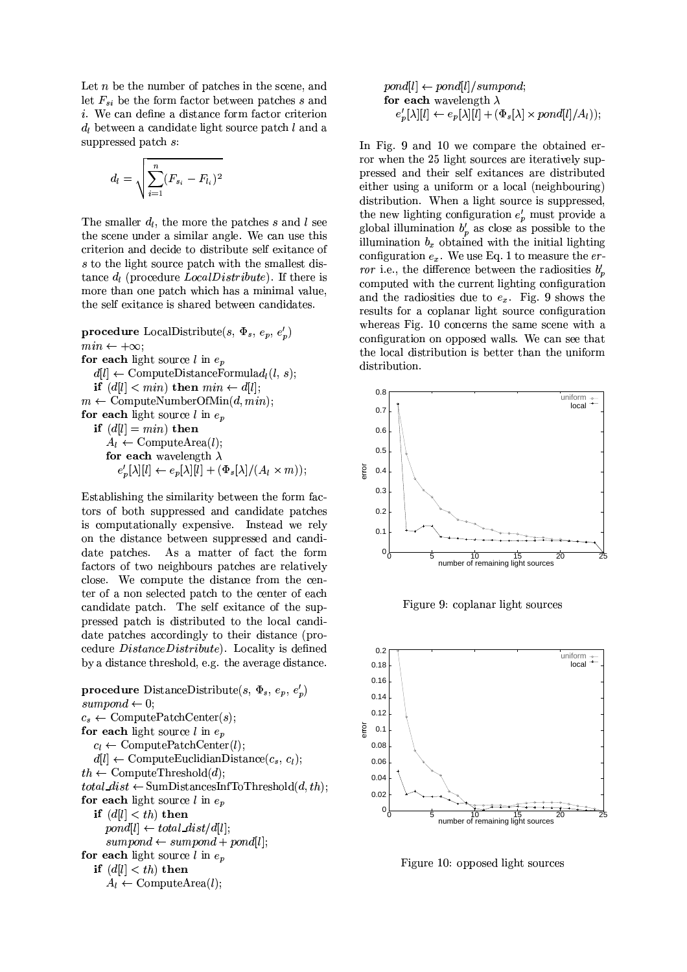Let  $n$  be the number of patches in the scene, and let  $F_{si}$  be the form factor between patches s and *i*. We can define a distance form factor criterion  $d_l$  between a candidate light source patch l and a suppressed patch s:

$$
d_l = \sqrt{\sum_{i=1}^{n} (F_{s_i} - F_{l_i})^2}
$$

The smaller  $d_l$ , the more the patches s and l see the scene under a similar angle. We can use this criterion and decide to distribute self exitance of s to the light source patch with the smallest distance  $d_l$  (procedure Local Distribute). If there is more than one patch which has a minimal value, the self exitance is shared between candidates.

**procedure** LocalDistribute(s,  $\Phi_s$ ,  $e_p$ ,  $e'_p$ )  $min \leftarrow +\infty;$ for each light source  $l$  in  $e_p$  $d[l] \leftarrow \text{ComputeDistanceFormula} d_l(l, s);$ if  $(d[l] < min)$  then  $min \leftarrow d[l]$ ;  $m \leftarrow$  ComputeNumberOfMin $(d, min)$ ; for each light source l in  $e_n$ if  $(d[l] = min)$  then  $A_l \leftarrow \text{ComputeArea}(l);$ for each wavelength  $\lambda$  $e'_p[\lambda][l] \leftarrow e_p[\lambda][\breve{l}] + (\Phi_s[\lambda]/(A_l \times m));$ 

Establishing the similarity between the form factors of both suppressed and candidate patches is computationally expensive. Instead we rely on the distance between suppressed and candi-As a matter of fact the form date patches. factors of two neighbours patches are relatively close. We compute the distance from the center of a non selected patch to the center of each candidate patch. The self exitance of the suppressed patch is distributed to the local candidate patches accordingly to their distance (procedure DistanceDistribute). Locality is defined by a distance threshold, e.g. the average distance.



$$
pond[l] \leftarrow pond[l]/sumpond;
$$
  
**for each** wavelength  $\lambda$   

$$
e'_p[\lambda][l] \leftarrow e_p[\lambda][l] + (\Phi_s[\lambda] \times pond[l]/A_l));
$$

In Fig. 9 and 10 we compare the obtained error when the 25 light sources are iteratively suppressed and their self exitances are distributed either using a uniform or a local (neighbouring) distribution. When a light source is suppressed, the new lighting configuration  $e'_p$  must provide a global illumination  $b'_p$  as close as possible to the illumination  $b_x$  obtained with the initial lighting configuration  $e_x$ . We use Eq. 1 to measure the  $er$ *ror* i.e., the difference between the radiosities  $b'_n$ computed with the current lighting configuration and the radiosities due to  $e_x$ . Fig. 9 shows the results for a coplanar light source configuration whereas Fig. 10 concerns the same scene with a configuration on opposed walls. We can see that the local distribution is better than the uniform distribution.



Figure 9: coplanar light sources



Figure 10: opposed light sources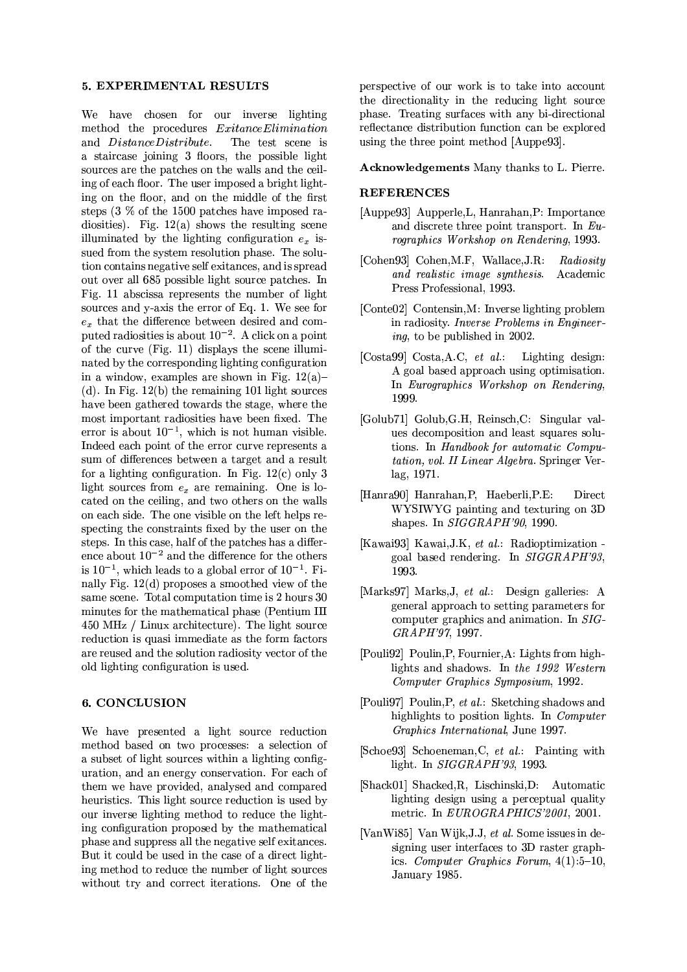#### 5. EXPERIMENTAL RESULTS

We have chosen for our inverse lighting method the procedures *ExitanceElimination* and DistanceDistribute. The test scene is a staircase joining 3 floors, the possible light sources are the patches on the walls and the ceiling of each floor. The user imposed a bright lighting on the floor, and on the middle of the first steps  $(3\%$  of the 1500 patches have imposed radiosities). Fig.  $12(a)$  shows the resulting scene illuminated by the lighting configuration  $e_x$  issued from the system resolution phase. The solution contains negative self exitances, and is spread out over all 685 possible light source patches. In Fig. 11 abscissa represents the number of light sources and y-axis the error of Eq. 1. We see for  $e_x$  that the difference between desired and computed radiosities is about  $10^{-2}$ . A click on a point of the curve (Fig. 11) displays the scene illuminated by the corresponding lighting configuration in a window, examples are shown in Fig.  $12(a)$ -(d). In Fig.  $12(b)$  the remaining 101 light sources have been gathered towards the stage, where the most important radiosities have been fixed. The error is about  $10^{-1}$ , which is not human visible. Indeed each point of the error curve represents a sum of differences between a target and a result for a lighting configuration. In Fig.  $12(c)$  only 3 light sources from  $e_x$  are remaining. One is located on the ceiling, and two others on the walls on each side. The one visible on the left helps respecting the constraints fixed by the user on the steps. In this case, half of the patches has a difference about  $10^{-2}$  and the difference for the others is  $10^{-1}$ , which leads to a global error of  $10^{-1}$ . Finally Fig.  $12(d)$  proposes a smoothed view of the same scene. Total computation time is 2 hours 30 minutes for the mathematical phase (Pentium III 450 MHz / Linux architecture). The light source reduction is quasi immediate as the form factors are reused and the solution radiosity vector of the old lighting configuration is used.

### 6. CONCLUSION

We have presented a light source reduction method based on two processes: a selection of a subset of light sources within a lighting configuration, and an energy conservation. For each of them we have provided, analysed and compared heuristics. This light source reduction is used by our inverse lighting method to reduce the lighting configuration proposed by the mathematical phase and suppress all the negative self exitances. But it could be used in the case of a direct lighting method to reduce the number of light sources without try and correct iterations. One of the perspective of our work is to take into account the directionality in the reducing light source phase. Treating surfaces with any bi-directional reflectance distribution function can be explored using the three point method [Auppe93].

**Acknowledgements** Many thanks to L. Pierre.

### **REFERENCES**

- [Auppe93] Aupperle, L, Hanrahan, P: Importance and discrete three point transport. In  $Eu$ rographics Workshop on Rendering, 1993.
- [Cohen93] Cohen, M.F, Wallace, J.R: Radiosity and realistic image synthesis. Academic Press Professional, 1993.
- [Conte02] Contensin, M: Inverse lighting problem in radiosity. Inverse Problems in Engineer $inq$ , to be published in 2002.
- [Costa99] Costa, A.C., et al.: Lighting design: A goal based approach using optimisation. In Eurographics Workshop on Rendering, 1999.
- [Golub71] Golub, G.H., Reinsch, C: Singular values decomposition and least squares solutions. In Handbook for automatic Computation, vol. II Linear Algebra. Springer Verlag, 1971.
- [Hanra90] Hanrahan, P, Haeberli, P.E: Direct WYSIWYG painting and texturing on 3D shapes. In SIGGRAPH'90, 1990.
- [Kawai93] Kawai, J.K, et al.: Radioptimization goal based rendering. In SIGGRAPH'93, 1993.
- [Marks97] Marks, J, et al.: Design galleries: A general approach to setting parameters for computer graphics and animation. In SIG-GRAPH'97, 1997.
- [Pouli92] Poulin, P, Fournier, A: Lights from highlights and shadows. In the 1992 Western Computer Graphics Symposium, 1992.
- [Pouli97] Poulin, P, et al.: Sketching shadows and highlights to position lights. In *Computer* Graphics International, June 1997.
- [Schoe93] Schoeneman, C, et al.: Painting with light. In SIGGRAPH'93, 1993.
- [Shack01] Shacked, R, Lischinski, D: Automatic lighting design using a perceptual quality metric. In EUROGRAPHICS'2001, 2001.
- [VanWi85] Van Wijk, J.J., et al. Some issues in designing user interfaces to 3D raster graphics. Computer Graphics Forum,  $4(1):5-10$ , January 1985.